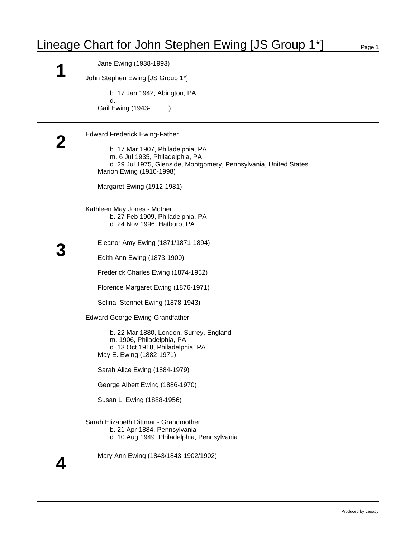## Lineage Chart for John Stephen Ewing [JS Group 1\*] Page 1

| Jane Ewing (1938-1993)                                                                                                                                                                                                                                                                                                                       |  |
|----------------------------------------------------------------------------------------------------------------------------------------------------------------------------------------------------------------------------------------------------------------------------------------------------------------------------------------------|--|
| John Stephen Ewing [JS Group 1*]                                                                                                                                                                                                                                                                                                             |  |
| b. 17 Jan 1942, Abington, PA<br>d.<br>Gail Ewing (1943-                                                                                                                                                                                                                                                                                      |  |
| <b>Edward Frederick Ewing-Father</b><br>b. 17 Mar 1907, Philadelphia, PA<br>m. 6 Jul 1935, Philadelphia, PA<br>d. 29 Jul 1975, Glenside, Montgomery, Pennsylvania, United States<br>Marion Ewing (1910-1998)<br>Margaret Ewing (1912-1981)<br>Kathleen May Jones - Mother<br>b. 27 Feb 1909, Philadelphia, PA<br>d. 24 Nov 1996, Hatboro, PA |  |
|                                                                                                                                                                                                                                                                                                                                              |  |
| Eleanor Amy Ewing (1871/1871-1894)                                                                                                                                                                                                                                                                                                           |  |
| Edith Ann Ewing (1873-1900)                                                                                                                                                                                                                                                                                                                  |  |
| Frederick Charles Ewing (1874-1952)                                                                                                                                                                                                                                                                                                          |  |
| Florence Margaret Ewing (1876-1971)                                                                                                                                                                                                                                                                                                          |  |
| Selina Stennet Ewing (1878-1943)                                                                                                                                                                                                                                                                                                             |  |
| <b>Edward George Ewing-Grandfather</b>                                                                                                                                                                                                                                                                                                       |  |
| b. 22 Mar 1880, London, Surrey, England<br>m. 1906, Philadelphia, PA<br>d. 13 Oct 1918, Philadelphia, PA<br>May E. Ewing (1882-1971)                                                                                                                                                                                                         |  |
| Sarah Alice Ewing (1884-1979)                                                                                                                                                                                                                                                                                                                |  |
| George Albert Ewing (1886-1970)                                                                                                                                                                                                                                                                                                              |  |
| Susan L. Ewing (1888-1956)                                                                                                                                                                                                                                                                                                                   |  |
| Sarah Elizabeth Dittmar - Grandmother<br>b. 21 Apr 1884, Pennsylvania<br>d. 10 Aug 1949, Philadelphia, Pennsylvania                                                                                                                                                                                                                          |  |
| Mary Ann Ewing (1843/1843-1902/1902)                                                                                                                                                                                                                                                                                                         |  |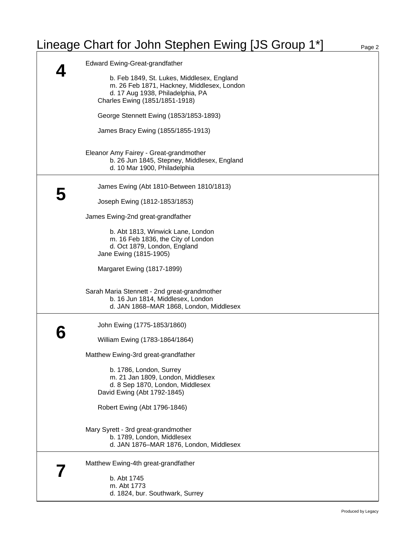## Lineage Chart for John Stephen Ewing [JS Group 1\*] Page 2

|   | <b>Edward Ewing-Great-grandfather</b>                                                                                                                          |
|---|----------------------------------------------------------------------------------------------------------------------------------------------------------------|
|   | b. Feb 1849, St. Lukes, Middlesex, England<br>m. 26 Feb 1871, Hackney, Middlesex, London<br>d. 17 Aug 1938, Philadelphia, PA<br>Charles Ewing (1851/1851-1918) |
|   | George Stennett Ewing (1853/1853-1893)                                                                                                                         |
|   | James Bracy Ewing (1855/1855-1913)                                                                                                                             |
|   | Eleanor Amy Fairey - Great-grandmother<br>b. 26 Jun 1845, Stepney, Middlesex, England<br>d. 10 Mar 1900, Philadelphia                                          |
| 5 | James Ewing (Abt 1810-Between 1810/1813)                                                                                                                       |
|   | Joseph Ewing (1812-1853/1853)                                                                                                                                  |
|   | James Ewing-2nd great-grandfather                                                                                                                              |
|   | b. Abt 1813, Winwick Lane, London<br>m. 16 Feb 1836, the City of London<br>d. Oct 1879, London, England<br>Jane Ewing (1815-1905)                              |
|   | Margaret Ewing (1817-1899)                                                                                                                                     |
|   | Sarah Maria Stennett - 2nd great-grandmother<br>b. 16 Jun 1814, Middlesex, London<br>d. JAN 1868-MAR 1868, London, Middlesex                                   |
|   | John Ewing (1775-1853/1860)                                                                                                                                    |
|   | William Ewing (1783-1864/1864)                                                                                                                                 |
|   | Matthew Ewing-3rd great-grandfather                                                                                                                            |
|   | b. 1786, London, Surrey<br>m. 21 Jan 1809, London, Middlesex<br>d. 8 Sep 1870, London, Middlesex<br>David Ewing (Abt 1792-1845)                                |
|   | Robert Ewing (Abt 1796-1846)                                                                                                                                   |
|   | Mary Syrett - 3rd great-grandmother<br>b. 1789, London, Middlesex<br>d. JAN 1876-MAR 1876, London, Middlesex                                                   |
|   | Matthew Ewing-4th great-grandfather                                                                                                                            |
|   | b. Abt 1745<br>m. Abt 1773<br>d. 1824, bur. Southwark, Surrey                                                                                                  |
|   |                                                                                                                                                                |